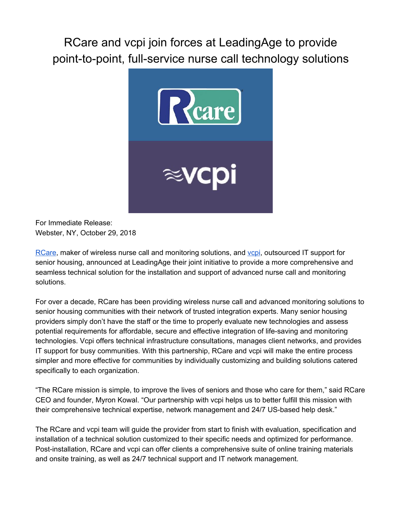RCare and vcpi join forces at LeadingAge to provide point-to-point, full-service nurse call technology solutions



For Immediate Release: Webster, NY, October 29, 2018

[RCare,](http://rcareinc.com/) maker of wireless nurse call and monitoring solutions, and [vcpi,](https://www.vcpi.com/) outsourced IT support for senior housing, announced at LeadingAge their joint initiative to provide a more comprehensive and seamless technical solution for the installation and support of advanced nurse call and monitoring solutions.

For over a decade, RCare has been providing wireless nurse call and advanced monitoring solutions to senior housing communities with their network of trusted integration experts. Many senior housing providers simply don't have the staff or the time to properly evaluate new technologies and assess potential requirements for affordable, secure and effective integration of life-saving and monitoring technologies. Vcpi offers technical infrastructure consultations, manages client networks, and provides IT support for busy communities. With this partnership, RCare and vcpi will make the entire process simpler and more effective for communities by individually customizing and building solutions catered specifically to each organization.

"The RCare mission is simple, to improve the lives of seniors and those who care for them," said RCare CEO and founder, Myron Kowal. "Our partnership with vcpi helps us to better fulfill this mission with their comprehensive technical expertise, network management and 24/7 US-based help desk."

The RCare and vcpi team will guide the provider from start to finish with evaluation, specification and installation of a technical solution customized to their specific needs and optimized for performance. Post-installation, RCare and vcpi can offer clients a comprehensive suite of online training materials and onsite training, as well as 24/7 technical support and IT network management.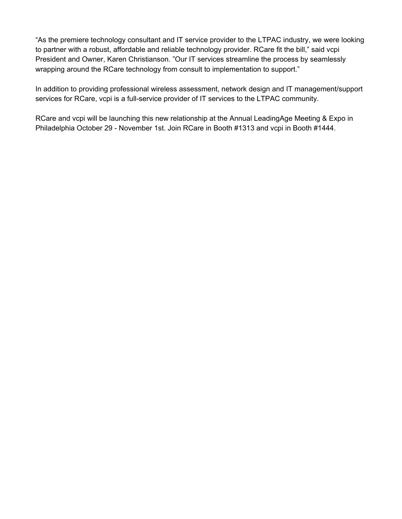"As the premiere technology consultant and IT service provider to the LTPAC industry, we were looking to partner with a robust, affordable and reliable technology provider. RCare fit the bill," said vcpi President and Owner, Karen Christianson. "Our IT services streamline the process by seamlessly wrapping around the RCare technology from consult to implementation to support."

In addition to providing professional wireless assessment, network design and IT management/support services for RCare, vcpi is a full-service provider of IT services to the LTPAC community.

RCare and vcpi will be launching this new relationship at the Annual LeadingAge Meeting & Expo in Philadelphia October 29 - November 1st. Join RCare in Booth #1313 and vcpi in Booth #1444.